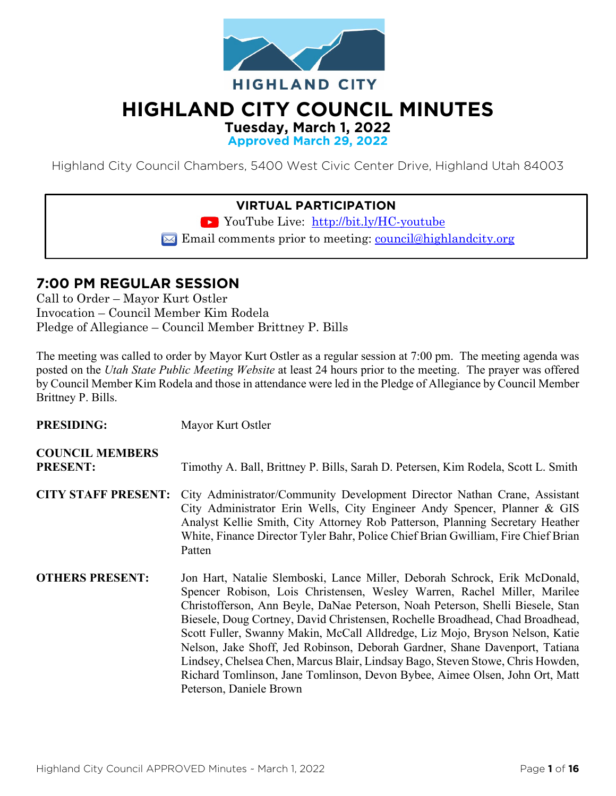

# **HIGHLAND CITY COUNCIL MINUTES**

**Tuesday, March 1, 2022**

**Approved March 29, 2022**

Highland City Council Chambers, 5400 West Civic Center Drive, Highland Utah 84003

#### **VIRTUAL PARTICIPATION**

YouTube Live: <http://bit.ly/HC-youtube>

 $\triangleright$  Email comments prior to meeting: council@highlandcity.org

## **7:00 PM REGULAR SESSION**

Call to Order – Mayor Kurt Ostler Invocation – Council Member Kim Rodela Pledge of Allegiance – Council Member Brittney P. Bills

The meeting was called to order by Mayor Kurt Ostler as a regular session at 7:00 pm. The meeting agenda was posted on the *Utah State Public Meeting Website* at least 24 hours prior to the meeting. The prayer was offered by Council Member Kim Rodela and those in attendance were led in the Pledge of Allegiance by Council Member Brittney P. Bills.

| <b>PRESIDING:</b>                         | Mayor Kurt Ostler                                                                                                                                                                                                                                                                                                                                                                                                                                                                                                                                                                                                                                                                    |
|-------------------------------------------|--------------------------------------------------------------------------------------------------------------------------------------------------------------------------------------------------------------------------------------------------------------------------------------------------------------------------------------------------------------------------------------------------------------------------------------------------------------------------------------------------------------------------------------------------------------------------------------------------------------------------------------------------------------------------------------|
| <b>COUNCIL MEMBERS</b><br><b>PRESENT:</b> | Timothy A. Ball, Brittney P. Bills, Sarah D. Petersen, Kim Rodela, Scott L. Smith                                                                                                                                                                                                                                                                                                                                                                                                                                                                                                                                                                                                    |
| <b>CITY STAFF PRESENT:</b>                | City Administrator/Community Development Director Nathan Crane, Assistant<br>City Administrator Erin Wells, City Engineer Andy Spencer, Planner & GIS<br>Analyst Kellie Smith, City Attorney Rob Patterson, Planning Secretary Heather<br>White, Finance Director Tyler Bahr, Police Chief Brian Gwilliam, Fire Chief Brian<br>Patten                                                                                                                                                                                                                                                                                                                                                |
| <b>OTHERS PRESENT:</b>                    | Jon Hart, Natalie Slemboski, Lance Miller, Deborah Schrock, Erik McDonald,<br>Spencer Robison, Lois Christensen, Wesley Warren, Rachel Miller, Marilee<br>Christofferson, Ann Beyle, DaNae Peterson, Noah Peterson, Shelli Biesele, Stan<br>Biesele, Doug Cortney, David Christensen, Rochelle Broadhead, Chad Broadhead,<br>Scott Fuller, Swanny Makin, McCall Alldredge, Liz Mojo, Bryson Nelson, Katie<br>Nelson, Jake Shoff, Jed Robinson, Deborah Gardner, Shane Davenport, Tatiana<br>Lindsey, Chelsea Chen, Marcus Blair, Lindsay Bago, Steven Stowe, Chris Howden,<br>Richard Tomlinson, Jane Tomlinson, Devon Bybee, Aimee Olsen, John Ort, Matt<br>Peterson, Daniele Brown |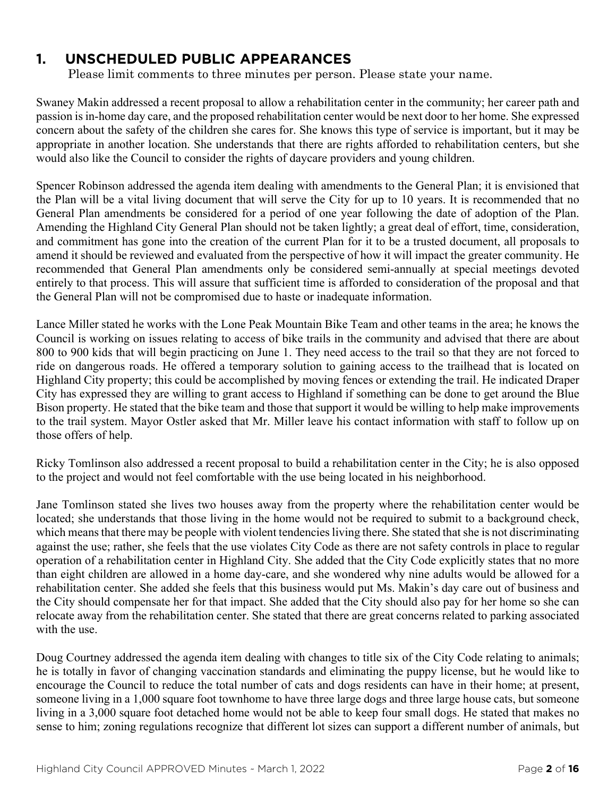## **1. UNSCHEDULED PUBLIC APPEARANCES**

Please limit comments to three minutes per person. Please state your name.

Swaney Makin addressed a recent proposal to allow a rehabilitation center in the community; her career path and passion is in-home day care, and the proposed rehabilitation center would be next door to her home. She expressed concern about the safety of the children she cares for. She knows this type of service is important, but it may be appropriate in another location. She understands that there are rights afforded to rehabilitation centers, but she would also like the Council to consider the rights of daycare providers and young children.

Spencer Robinson addressed the agenda item dealing with amendments to the General Plan; it is envisioned that the Plan will be a vital living document that will serve the City for up to 10 years. It is recommended that no General Plan amendments be considered for a period of one year following the date of adoption of the Plan. Amending the Highland City General Plan should not be taken lightly; a great deal of effort, time, consideration, and commitment has gone into the creation of the current Plan for it to be a trusted document, all proposals to amend it should be reviewed and evaluated from the perspective of how it will impact the greater community. He recommended that General Plan amendments only be considered semi-annually at special meetings devoted entirely to that process. This will assure that sufficient time is afforded to consideration of the proposal and that the General Plan will not be compromised due to haste or inadequate information.

Lance Miller stated he works with the Lone Peak Mountain Bike Team and other teams in the area; he knows the Council is working on issues relating to access of bike trails in the community and advised that there are about 800 to 900 kids that will begin practicing on June 1. They need access to the trail so that they are not forced to ride on dangerous roads. He offered a temporary solution to gaining access to the trailhead that is located on Highland City property; this could be accomplished by moving fences or extending the trail. He indicated Draper City has expressed they are willing to grant access to Highland if something can be done to get around the Blue Bison property. He stated that the bike team and those that support it would be willing to help make improvements to the trail system. Mayor Ostler asked that Mr. Miller leave his contact information with staff to follow up on those offers of help.

Ricky Tomlinson also addressed a recent proposal to build a rehabilitation center in the City; he is also opposed to the project and would not feel comfortable with the use being located in his neighborhood.

Jane Tomlinson stated she lives two houses away from the property where the rehabilitation center would be located; she understands that those living in the home would not be required to submit to a background check, which means that there may be people with violent tendencies living there. She stated that she is not discriminating against the use; rather, she feels that the use violates City Code as there are not safety controls in place to regular operation of a rehabilitation center in Highland City. She added that the City Code explicitly states that no more than eight children are allowed in a home day-care, and she wondered why nine adults would be allowed for a rehabilitation center. She added she feels that this business would put Ms. Makin's day care out of business and the City should compensate her for that impact. She added that the City should also pay for her home so she can relocate away from the rehabilitation center. She stated that there are great concerns related to parking associated with the use.

Doug Courtney addressed the agenda item dealing with changes to title six of the City Code relating to animals; he is totally in favor of changing vaccination standards and eliminating the puppy license, but he would like to encourage the Council to reduce the total number of cats and dogs residents can have in their home; at present, someone living in a 1,000 square foot townhome to have three large dogs and three large house cats, but someone living in a 3,000 square foot detached home would not be able to keep four small dogs. He stated that makes no sense to him; zoning regulations recognize that different lot sizes can support a different number of animals, but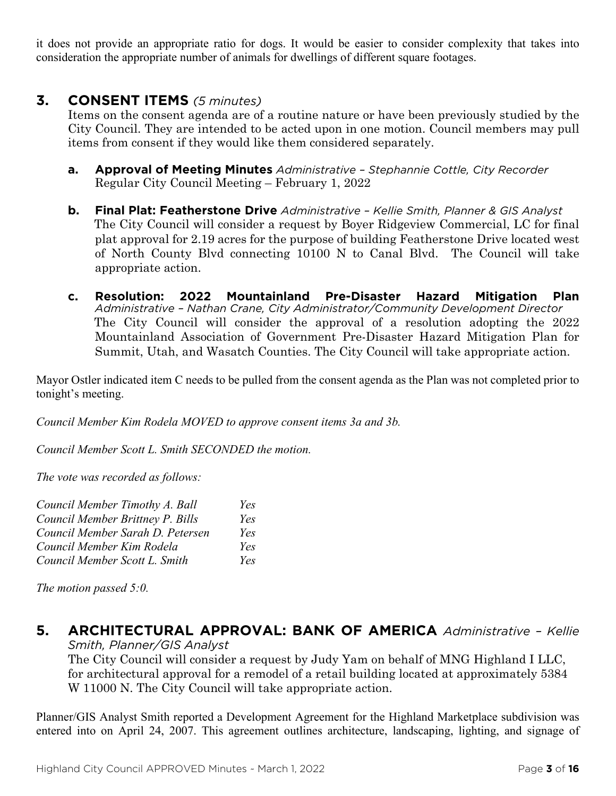it does not provide an appropriate ratio for dogs. It would be easier to consider complexity that takes into consideration the appropriate number of animals for dwellings of different square footages.

### **3. CONSENT ITEMS** *(5 minutes)*

Items on the consent agenda are of a routine nature or have been previously studied by the City Council. They are intended to be acted upon in one motion. Council members may pull items from consent if they would like them considered separately.

- **a. Approval of Meeting Minutes** *Administrative – Stephannie Cottle, City Recorder* Regular City Council Meeting – February 1, 2022
- **b. Final Plat: Featherstone Drive** *Administrative – Kellie Smith, Planner & GIS Analyst* The City Council will consider a request by Boyer Ridgeview Commercial, LC for final plat approval for 2.19 acres for the purpose of building Featherstone Drive located west of North County Blvd connecting 10100 N to Canal Blvd. The Council will take appropriate action.
- **c. Resolution: 2022 Mountainland Pre-Disaster Hazard Mitigation Plan** *Administrative – Nathan Crane, City Administrator/Community Development Director* The City Council will consider the approval of a resolution adopting the 2022 Mountainland Association of Government Pre-Disaster Hazard Mitigation Plan for Summit, Utah, and Wasatch Counties. The City Council will take appropriate action.

Mayor Ostler indicated item C needs to be pulled from the consent agenda as the Plan was not completed prior to tonight's meeting.

*Council Member Kim Rodela MOVED to approve consent items 3a and 3b.*

*Council Member Scott L. Smith SECONDED the motion.*

*The vote was recorded as follows:*

| Council Member Timothy A. Ball   | Yes |
|----------------------------------|-----|
| Council Member Brittney P. Bills | Yes |
| Council Member Sarah D. Petersen | Yes |
| Council Member Kim Rodela        | Yes |
| Council Member Scott L. Smith    | Yes |

*The motion passed 5:0.* 

**5. ARCHITECTURAL APPROVAL: BANK OF AMERICA** *Administrative – Kellie Smith, Planner/GIS Analyst*

The City Council will consider a request by Judy Yam on behalf of MNG Highland I LLC, for architectural approval for a remodel of a retail building located at approximately 5384 W 11000 N. The City Council will take appropriate action.

Planner/GIS Analyst Smith reported a Development Agreement for the Highland Marketplace subdivision was entered into on April 24, 2007. This agreement outlines architecture, landscaping, lighting, and signage of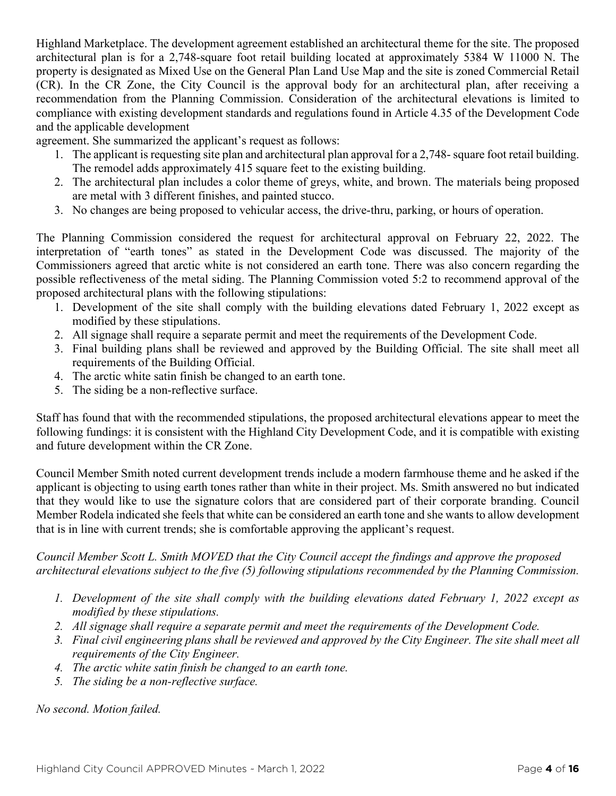Highland Marketplace. The development agreement established an architectural theme for the site. The proposed architectural plan is for a 2,748-square foot retail building located at approximately 5384 W 11000 N. The property is designated as Mixed Use on the General Plan Land Use Map and the site is zoned Commercial Retail (CR). In the CR Zone, the City Council is the approval body for an architectural plan, after receiving a recommendation from the Planning Commission. Consideration of the architectural elevations is limited to compliance with existing development standards and regulations found in Article 4.35 of the Development Code and the applicable development

agreement. She summarized the applicant's request as follows:

- 1. The applicant is requesting site plan and architectural plan approval for a 2,748- square foot retail building. The remodel adds approximately 415 square feet to the existing building.
- 2. The architectural plan includes a color theme of greys, white, and brown. The materials being proposed are metal with 3 different finishes, and painted stucco.
- 3. No changes are being proposed to vehicular access, the drive-thru, parking, or hours of operation.

The Planning Commission considered the request for architectural approval on February 22, 2022. The interpretation of "earth tones" as stated in the Development Code was discussed. The majority of the Commissioners agreed that arctic white is not considered an earth tone. There was also concern regarding the possible reflectiveness of the metal siding. The Planning Commission voted 5:2 to recommend approval of the proposed architectural plans with the following stipulations:

- 1. Development of the site shall comply with the building elevations dated February 1, 2022 except as modified by these stipulations.
- 2. All signage shall require a separate permit and meet the requirements of the Development Code.
- 3. Final building plans shall be reviewed and approved by the Building Official. The site shall meet all requirements of the Building Official.
- 4. The arctic white satin finish be changed to an earth tone.
- 5. The siding be a non-reflective surface.

Staff has found that with the recommended stipulations, the proposed architectural elevations appear to meet the following fundings: it is consistent with the Highland City Development Code, and it is compatible with existing and future development within the CR Zone.

Council Member Smith noted current development trends include a modern farmhouse theme and he asked if the applicant is objecting to using earth tones rather than white in their project. Ms. Smith answered no but indicated that they would like to use the signature colors that are considered part of their corporate branding. Council Member Rodela indicated she feels that white can be considered an earth tone and she wants to allow development that is in line with current trends; she is comfortable approving the applicant's request.

#### *Council Member Scott L. Smith MOVED that the City Council accept the findings and approve the proposed architectural elevations subject to the five (5) following stipulations recommended by the Planning Commission.*

- *1. Development of the site shall comply with the building elevations dated February 1, 2022 except as modified by these stipulations.*
- *2. All signage shall require a separate permit and meet the requirements of the Development Code.*
- *3. Final civil engineering plans shall be reviewed and approved by the City Engineer. The site shall meet all requirements of the City Engineer.*
- *4. The arctic white satin finish be changed to an earth tone.*
- *5. The siding be a non-reflective surface.*

*No second. Motion failed.*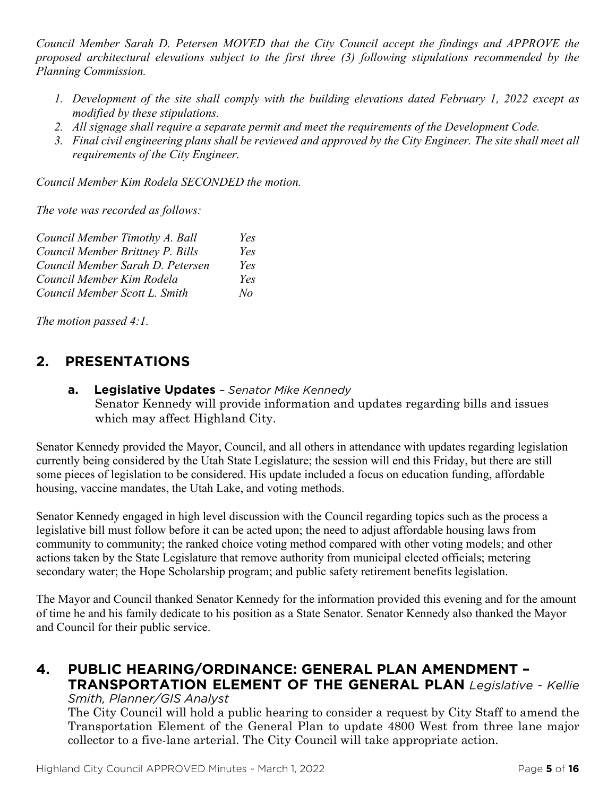*Council Member Sarah D. Petersen MOVED that the City Council accept the findings and APPROVE the proposed architectural elevations subject to the first three (3) following stipulations recommended by the Planning Commission.*

- *1. Development of the site shall comply with the building elevations dated February 1, 2022 except as modified by these stipulations.*
- *2. All signage shall require a separate permit and meet the requirements of the Development Code.*
- *3. Final civil engineering plans shall be reviewed and approved by the City Engineer. The site shall meet all requirements of the City Engineer.*

*Council Member Kim Rodela SECONDED the motion.*

*The vote was recorded as follows:*

| Council Member Timothy A. Ball   | Yes       |
|----------------------------------|-----------|
| Council Member Brittney P. Bills | Yes       |
| Council Member Sarah D. Petersen | Yes       |
| Council Member Kim Rodela        | Yes       |
| Council Member Scott L. Smith    | $N\sigma$ |

*The motion passed 4:1.* 

## **2. PRESENTATIONS**

**a. Legislative Updates** *– Senator Mike Kennedy* Senator Kennedy will provide information and updates regarding bills and issues which may affect Highland City.

Senator Kennedy provided the Mayor, Council, and all others in attendance with updates regarding legislation currently being considered by the Utah State Legislature; the session will end this Friday, but there are still some pieces of legislation to be considered. His update included a focus on education funding, affordable housing, vaccine mandates, the Utah Lake, and voting methods.

Senator Kennedy engaged in high level discussion with the Council regarding topics such as the process a legislative bill must follow before it can be acted upon; the need to adjust affordable housing laws from community to community; the ranked choice voting method compared with other voting models; and other actions taken by the State Legislature that remove authority from municipal elected officials; metering secondary water; the Hope Scholarship program; and public safety retirement benefits legislation.

The Mayor and Council thanked Senator Kennedy for the information provided this evening and for the amount of time he and his family dedicate to his position as a State Senator. Senator Kennedy also thanked the Mayor and Council for their public service.

# **4. PUBLIC HEARING/ORDINANCE: GENERAL PLAN AMENDMENT – TRANSPORTATION ELEMENT OF THE GENERAL PLAN** *Legislative - Kellie*

*Smith, Planner/GIS Analyst*

The City Council will hold a public hearing to consider a request by City Staff to amend the Transportation Element of the General Plan to update 4800 West from three lane major collector to a five-lane arterial. The City Council will take appropriate action.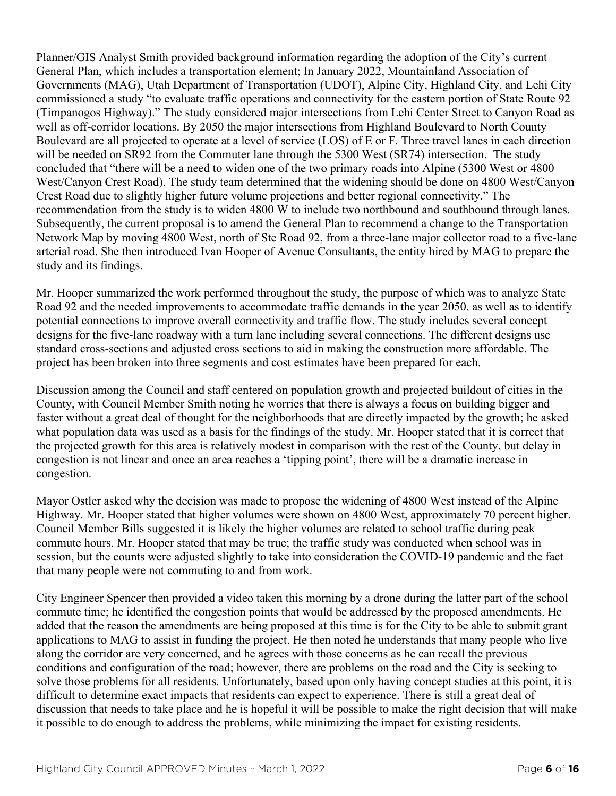Planner/GIS Analyst Smith provided background information regarding the adoption of the City's current General Plan, which includes a transportation element; In January 2022, Mountainland Association of Governments (MAG), Utah Department of Transportation (UDOT), Alpine City, Highland City, and Lehi City commissioned a study "to evaluate traffic operations and connectivity for the eastern portion of State Route 92 (Timpanogos Highway)." The study considered major intersections from Lehi Center Street to Canyon Road as well as off-corridor locations. By 2050 the major intersections from Highland Boulevard to North County Boulevard are all projected to operate at a level of service (LOS) of E or F. Three travel lanes in each direction will be needed on SR92 from the Commuter lane through the 5300 West (SR74) intersection. The study concluded that "there will be a need to widen one of the two primary roads into Alpine (5300 West or 4800 West/Canyon Crest Road). The study team determined that the widening should be done on 4800 West/Canyon Crest Road due to slightly higher future volume projections and better regional connectivity." The recommendation from the study is to widen 4800 W to include two northbound and southbound through lanes. Subsequently, the current proposal is to amend the General Plan to recommend a change to the Transportation Network Map by moving 4800 West, north of Ste Road 92, from a three-lane major collector road to a five-lane arterial road. She then introduced Ivan Hooper of Avenue Consultants, the entity hired by MAG to prepare the study and its findings.

Mr. Hooper summarized the work performed throughout the study, the purpose of which was to analyze State Road 92 and the needed improvements to accommodate traffic demands in the year 2050, as well as to identify potential connections to improve overall connectivity and traffic flow. The study includes several concept designs for the five-lane roadway with a turn lane including several connections. The different designs use standard cross-sections and adjusted cross sections to aid in making the construction more affordable. The project has been broken into three segments and cost estimates have been prepared for each.

Discussion among the Council and staff centered on population growth and projected buildout of cities in the County, with Council Member Smith noting he worries that there is always a focus on building bigger and faster without a great deal of thought for the neighborhoods that are directly impacted by the growth; he asked what population data was used as a basis for the findings of the study. Mr. Hooper stated that it is correct that the projected growth for this area is relatively modest in comparison with the rest of the County, but delay in congestion is not linear and once an area reaches a 'tipping point', there will be a dramatic increase in congestion.

Mayor Ostler asked why the decision was made to propose the widening of 4800 West instead of the Alpine Highway. Mr. Hooper stated that higher volumes were shown on 4800 West, approximately 70 percent higher. Council Member Bills suggested it is likely the higher volumes are related to school traffic during peak commute hours. Mr. Hooper stated that may be true; the traffic study was conducted when school was in session, but the counts were adjusted slightly to take into consideration the COVID-19 pandemic and the fact that many people were not commuting to and from work.

City Engineer Spencer then provided a video taken this morning by a drone during the latter part of the school commute time; he identified the congestion points that would be addressed by the proposed amendments. He added that the reason the amendments are being proposed at this time is for the City to be able to submit grant applications to MAG to assist in funding the project. He then noted he understands that many people who live along the corridor are very concerned, and he agrees with those concerns as he can recall the previous conditions and configuration of the road; however, there are problems on the road and the City is seeking to solve those problems for all residents. Unfortunately, based upon only having concept studies at this point, it is difficult to determine exact impacts that residents can expect to experience. There is still a great deal of discussion that needs to take place and he is hopeful it will be possible to make the right decision that will make it possible to do enough to address the problems, while minimizing the impact for existing residents.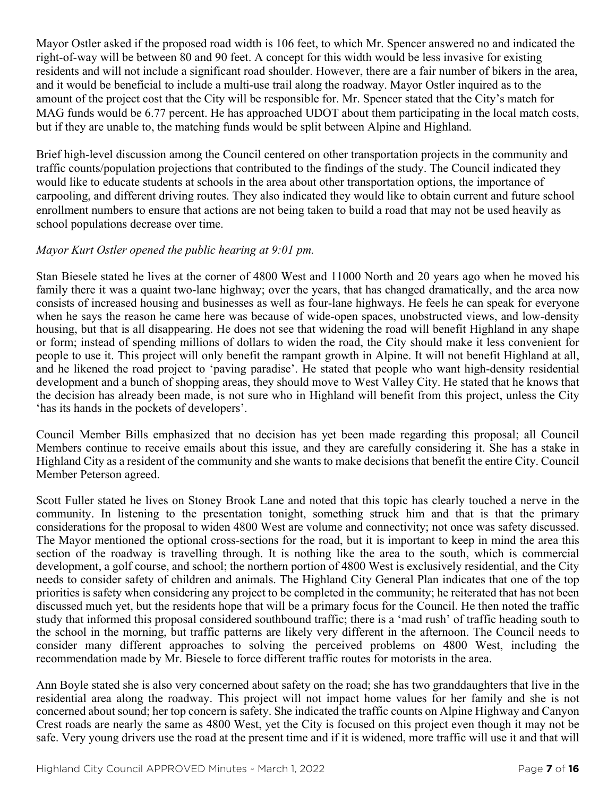Mayor Ostler asked if the proposed road width is 106 feet, to which Mr. Spencer answered no and indicated the right-of-way will be between 80 and 90 feet. A concept for this width would be less invasive for existing residents and will not include a significant road shoulder. However, there are a fair number of bikers in the area, and it would be beneficial to include a multi-use trail along the roadway. Mayor Ostler inquired as to the amount of the project cost that the City will be responsible for. Mr. Spencer stated that the City's match for MAG funds would be 6.77 percent. He has approached UDOT about them participating in the local match costs, but if they are unable to, the matching funds would be split between Alpine and Highland.

Brief high-level discussion among the Council centered on other transportation projects in the community and traffic counts/population projections that contributed to the findings of the study. The Council indicated they would like to educate students at schools in the area about other transportation options, the importance of carpooling, and different driving routes. They also indicated they would like to obtain current and future school enrollment numbers to ensure that actions are not being taken to build a road that may not be used heavily as school populations decrease over time.

#### *Mayor Kurt Ostler opened the public hearing at 9:01 pm.*

Stan Biesele stated he lives at the corner of 4800 West and 11000 North and 20 years ago when he moved his family there it was a quaint two-lane highway; over the years, that has changed dramatically, and the area now consists of increased housing and businesses as well as four-lane highways. He feels he can speak for everyone when he says the reason he came here was because of wide-open spaces, unobstructed views, and low-density housing, but that is all disappearing. He does not see that widening the road will benefit Highland in any shape or form; instead of spending millions of dollars to widen the road, the City should make it less convenient for people to use it. This project will only benefit the rampant growth in Alpine. It will not benefit Highland at all, and he likened the road project to 'paving paradise'. He stated that people who want high-density residential development and a bunch of shopping areas, they should move to West Valley City. He stated that he knows that the decision has already been made, is not sure who in Highland will benefit from this project, unless the City 'has its hands in the pockets of developers'.

Council Member Bills emphasized that no decision has yet been made regarding this proposal; all Council Members continue to receive emails about this issue, and they are carefully considering it. She has a stake in Highland City as a resident of the community and she wants to make decisions that benefit the entire City. Council Member Peterson agreed.

Scott Fuller stated he lives on Stoney Brook Lane and noted that this topic has clearly touched a nerve in the community. In listening to the presentation tonight, something struck him and that is that the primary considerations for the proposal to widen 4800 West are volume and connectivity; not once was safety discussed. The Mayor mentioned the optional cross-sections for the road, but it is important to keep in mind the area this section of the roadway is travelling through. It is nothing like the area to the south, which is commercial development, a golf course, and school; the northern portion of 4800 West is exclusively residential, and the City needs to consider safety of children and animals. The Highland City General Plan indicates that one of the top priorities is safety when considering any project to be completed in the community; he reiterated that has not been discussed much yet, but the residents hope that will be a primary focus for the Council. He then noted the traffic study that informed this proposal considered southbound traffic; there is a 'mad rush' of traffic heading south to the school in the morning, but traffic patterns are likely very different in the afternoon. The Council needs to consider many different approaches to solving the perceived problems on 4800 West, including the recommendation made by Mr. Biesele to force different traffic routes for motorists in the area.

Ann Boyle stated she is also very concerned about safety on the road; she has two granddaughters that live in the residential area along the roadway. This project will not impact home values for her family and she is not concerned about sound; her top concern is safety. She indicated the traffic counts on Alpine Highway and Canyon Crest roads are nearly the same as 4800 West, yet the City is focused on this project even though it may not be safe. Very young drivers use the road at the present time and if it is widened, more traffic will use it and that will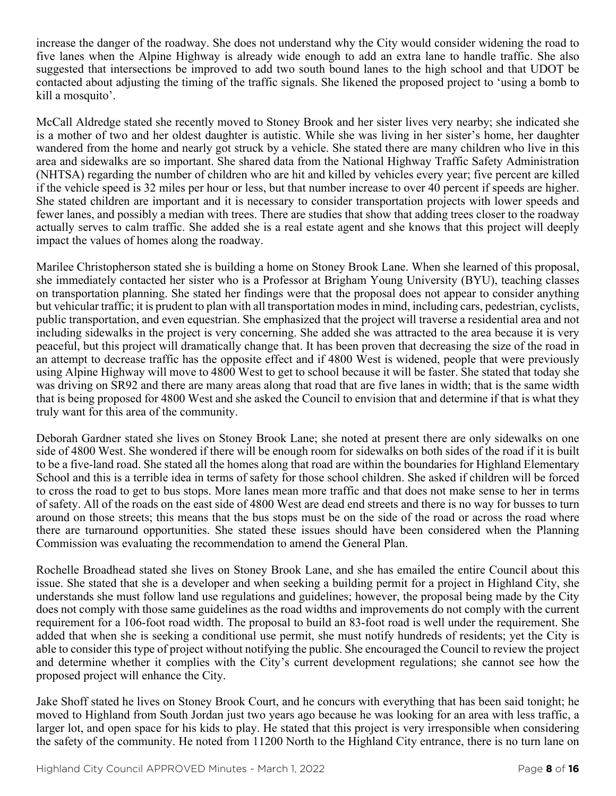increase the danger of the roadway. She does not understand why the City would consider widening the road to five lanes when the Alpine Highway is already wide enough to add an extra lane to handle traffic. She also suggested that intersections be improved to add two south bound lanes to the high school and that UDOT be contacted about adjusting the timing of the traffic signals. She likened the proposed project to 'using a bomb to kill a mosquito'.

McCall Aldredge stated she recently moved to Stoney Brook and her sister lives very nearby; she indicated she is a mother of two and her oldest daughter is autistic. While she was living in her sister's home, her daughter wandered from the home and nearly got struck by a vehicle. She stated there are many children who live in this area and sidewalks are so important. She shared data from the National Highway Traffic Safety Administration (NHTSA) regarding the number of children who are hit and killed by vehicles every year; five percent are killed if the vehicle speed is 32 miles per hour or less, but that number increase to over 40 percent if speeds are higher. She stated children are important and it is necessary to consider transportation projects with lower speeds and fewer lanes, and possibly a median with trees. There are studies that show that adding trees closer to the roadway actually serves to calm traffic. She added she is a real estate agent and she knows that this project will deeply impact the values of homes along the roadway.

Marilee Christopherson stated she is building a home on Stoney Brook Lane. When she learned of this proposal, she immediately contacted her sister who is a Professor at Brigham Young University (BYU), teaching classes on transportation planning. She stated her findings were that the proposal does not appear to consider anything but vehicular traffic; it is prudent to plan with all transportation modes in mind, including cars, pedestrian, cyclists, public transportation, and even equestrian. She emphasized that the project will traverse a residential area and not including sidewalks in the project is very concerning. She added she was attracted to the area because it is very peaceful, but this project will dramatically change that. It has been proven that decreasing the size of the road in an attempt to decrease traffic has the opposite effect and if 4800 West is widened, people that were previously using Alpine Highway will move to 4800 West to get to school because it will be faster. She stated that today she was driving on SR92 and there are many areas along that road that are five lanes in width; that is the same width that is being proposed for 4800 West and she asked the Council to envision that and determine if that is what they truly want for this area of the community.

Deborah Gardner stated she lives on Stoney Brook Lane; she noted at present there are only sidewalks on one side of 4800 West. She wondered if there will be enough room for sidewalks on both sides of the road if it is built to be a five-land road. She stated all the homes along that road are within the boundaries for Highland Elementary School and this is a terrible idea in terms of safety for those school children. She asked if children will be forced to cross the road to get to bus stops. More lanes mean more traffic and that does not make sense to her in terms of safety. All of the roads on the east side of 4800 West are dead end streets and there is no way for busses to turn around on those streets; this means that the bus stops must be on the side of the road or across the road where there are turnaround opportunities. She stated these issues should have been considered when the Planning Commission was evaluating the recommendation to amend the General Plan.

Rochelle Broadhead stated she lives on Stoney Brook Lane, and she has emailed the entire Council about this issue. She stated that she is a developer and when seeking a building permit for a project in Highland City, she understands she must follow land use regulations and guidelines; however, the proposal being made by the City does not comply with those same guidelines as the road widths and improvements do not comply with the current requirement for a 106-foot road width. The proposal to build an 83-foot road is well under the requirement. She added that when she is seeking a conditional use permit, she must notify hundreds of residents; yet the City is able to consider this type of project without notifying the public. She encouraged the Council to review the project and determine whether it complies with the City's current development regulations; she cannot see how the proposed project will enhance the City.

Jake Shoff stated he lives on Stoney Brook Court, and he concurs with everything that has been said tonight; he moved to Highland from South Jordan just two years ago because he was looking for an area with less traffic, a larger lot, and open space for his kids to play. He stated that this project is very irresponsible when considering the safety of the community. He noted from 11200 North to the Highland City entrance, there is no turn lane on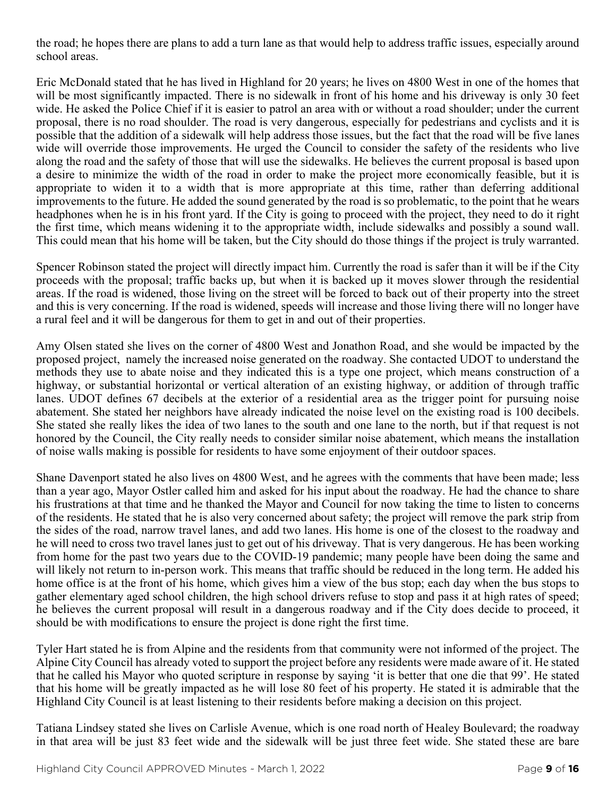the road; he hopes there are plans to add a turn lane as that would help to address traffic issues, especially around school areas.

Eric McDonald stated that he has lived in Highland for 20 years; he lives on 4800 West in one of the homes that will be most significantly impacted. There is no sidewalk in front of his home and his driveway is only 30 feet wide. He asked the Police Chief if it is easier to patrol an area with or without a road shoulder; under the current proposal, there is no road shoulder. The road is very dangerous, especially for pedestrians and cyclists and it is possible that the addition of a sidewalk will help address those issues, but the fact that the road will be five lanes wide will override those improvements. He urged the Council to consider the safety of the residents who live along the road and the safety of those that will use the sidewalks. He believes the current proposal is based upon a desire to minimize the width of the road in order to make the project more economically feasible, but it is appropriate to widen it to a width that is more appropriate at this time, rather than deferring additional improvements to the future. He added the sound generated by the road is so problematic, to the point that he wears headphones when he is in his front yard. If the City is going to proceed with the project, they need to do it right the first time, which means widening it to the appropriate width, include sidewalks and possibly a sound wall. This could mean that his home will be taken, but the City should do those things if the project is truly warranted.

Spencer Robinson stated the project will directly impact him. Currently the road is safer than it will be if the City proceeds with the proposal; traffic backs up, but when it is backed up it moves slower through the residential areas. If the road is widened, those living on the street will be forced to back out of their property into the street and this is very concerning. If the road is widened, speeds will increase and those living there will no longer have a rural feel and it will be dangerous for them to get in and out of their properties.

Amy Olsen stated she lives on the corner of 4800 West and Jonathon Road, and she would be impacted by the proposed project, namely the increased noise generated on the roadway. She contacted UDOT to understand the methods they use to abate noise and they indicated this is a type one project, which means construction of a highway, or substantial horizontal or vertical alteration of an existing highway, or addition of through traffic lanes. UDOT defines 67 decibels at the exterior of a residential area as the trigger point for pursuing noise abatement. She stated her neighbors have already indicated the noise level on the existing road is 100 decibels. She stated she really likes the idea of two lanes to the south and one lane to the north, but if that request is not honored by the Council, the City really needs to consider similar noise abatement, which means the installation of noise walls making is possible for residents to have some enjoyment of their outdoor spaces.

Shane Davenport stated he also lives on 4800 West, and he agrees with the comments that have been made; less than a year ago, Mayor Ostler called him and asked for his input about the roadway. He had the chance to share his frustrations at that time and he thanked the Mayor and Council for now taking the time to listen to concerns of the residents. He stated that he is also very concerned about safety; the project will remove the park strip from the sides of the road, narrow travel lanes, and add two lanes. His home is one of the closest to the roadway and he will need to cross two travel lanes just to get out of his driveway. That is very dangerous. He has been working from home for the past two years due to the COVID-19 pandemic; many people have been doing the same and will likely not return to in-person work. This means that traffic should be reduced in the long term. He added his home office is at the front of his home, which gives him a view of the bus stop; each day when the bus stops to gather elementary aged school children, the high school drivers refuse to stop and pass it at high rates of speed; he believes the current proposal will result in a dangerous roadway and if the City does decide to proceed, it should be with modifications to ensure the project is done right the first time.

Tyler Hart stated he is from Alpine and the residents from that community were not informed of the project. The Alpine City Council has already voted to support the project before any residents were made aware of it. He stated that he called his Mayor who quoted scripture in response by saying 'it is better that one die that 99'. He stated that his home will be greatly impacted as he will lose 80 feet of his property. He stated it is admirable that the Highland City Council is at least listening to their residents before making a decision on this project.

Tatiana Lindsey stated she lives on Carlisle Avenue, which is one road north of Healey Boulevard; the roadway in that area will be just 83 feet wide and the sidewalk will be just three feet wide. She stated these are bare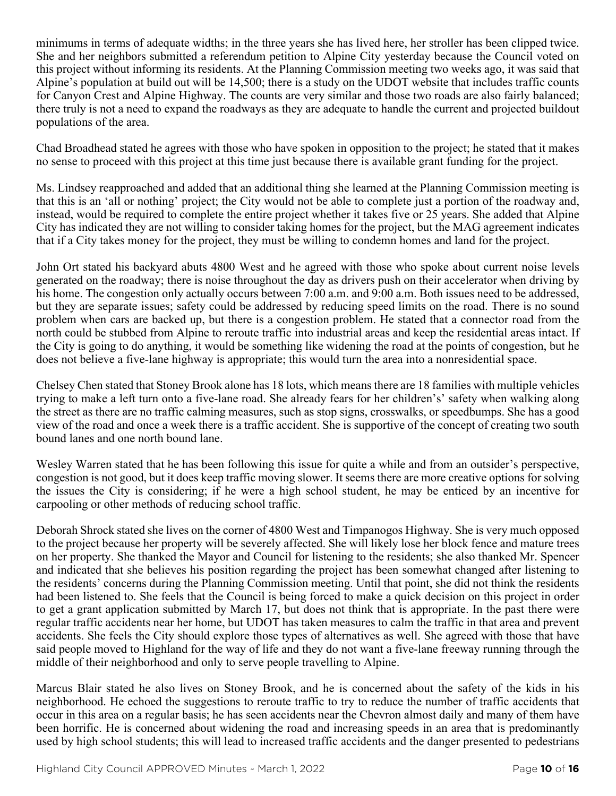minimums in terms of adequate widths; in the three years she has lived here, her stroller has been clipped twice. She and her neighbors submitted a referendum petition to Alpine City yesterday because the Council voted on this project without informing its residents. At the Planning Commission meeting two weeks ago, it was said that Alpine's population at build out will be 14,500; there is a study on the UDOT website that includes traffic counts for Canyon Crest and Alpine Highway. The counts are very similar and those two roads are also fairly balanced; there truly is not a need to expand the roadways as they are adequate to handle the current and projected buildout populations of the area.

Chad Broadhead stated he agrees with those who have spoken in opposition to the project; he stated that it makes no sense to proceed with this project at this time just because there is available grant funding for the project.

Ms. Lindsey reapproached and added that an additional thing she learned at the Planning Commission meeting is that this is an 'all or nothing' project; the City would not be able to complete just a portion of the roadway and, instead, would be required to complete the entire project whether it takes five or 25 years. She added that Alpine City has indicated they are not willing to consider taking homes for the project, but the MAG agreement indicates that if a City takes money for the project, they must be willing to condemn homes and land for the project.

John Ort stated his backyard abuts 4800 West and he agreed with those who spoke about current noise levels generated on the roadway; there is noise throughout the day as drivers push on their accelerator when driving by his home. The congestion only actually occurs between 7:00 a.m. and 9:00 a.m. Both issues need to be addressed, but they are separate issues; safety could be addressed by reducing speed limits on the road. There is no sound problem when cars are backed up, but there is a congestion problem. He stated that a connector road from the north could be stubbed from Alpine to reroute traffic into industrial areas and keep the residential areas intact. If the City is going to do anything, it would be something like widening the road at the points of congestion, but he does not believe a five-lane highway is appropriate; this would turn the area into a nonresidential space.

Chelsey Chen stated that Stoney Brook alone has 18 lots, which means there are 18 families with multiple vehicles trying to make a left turn onto a five-lane road. She already fears for her children's' safety when walking along the street as there are no traffic calming measures, such as stop signs, crosswalks, or speedbumps. She has a good view of the road and once a week there is a traffic accident. She is supportive of the concept of creating two south bound lanes and one north bound lane.

Wesley Warren stated that he has been following this issue for quite a while and from an outsider's perspective, congestion is not good, but it does keep traffic moving slower. It seems there are more creative options for solving the issues the City is considering; if he were a high school student, he may be enticed by an incentive for carpooling or other methods of reducing school traffic.

Deborah Shrock stated she lives on the corner of 4800 West and Timpanogos Highway. She is very much opposed to the project because her property will be severely affected. She will likely lose her block fence and mature trees on her property. She thanked the Mayor and Council for listening to the residents; she also thanked Mr. Spencer and indicated that she believes his position regarding the project has been somewhat changed after listening to the residents' concerns during the Planning Commission meeting. Until that point, she did not think the residents had been listened to. She feels that the Council is being forced to make a quick decision on this project in order to get a grant application submitted by March 17, but does not think that is appropriate. In the past there were regular traffic accidents near her home, but UDOT has taken measures to calm the traffic in that area and prevent accidents. She feels the City should explore those types of alternatives as well. She agreed with those that have said people moved to Highland for the way of life and they do not want a five-lane freeway running through the middle of their neighborhood and only to serve people travelling to Alpine.

Marcus Blair stated he also lives on Stoney Brook, and he is concerned about the safety of the kids in his neighborhood. He echoed the suggestions to reroute traffic to try to reduce the number of traffic accidents that occur in this area on a regular basis; he has seen accidents near the Chevron almost daily and many of them have been horrific. He is concerned about widening the road and increasing speeds in an area that is predominantly used by high school students; this will lead to increased traffic accidents and the danger presented to pedestrians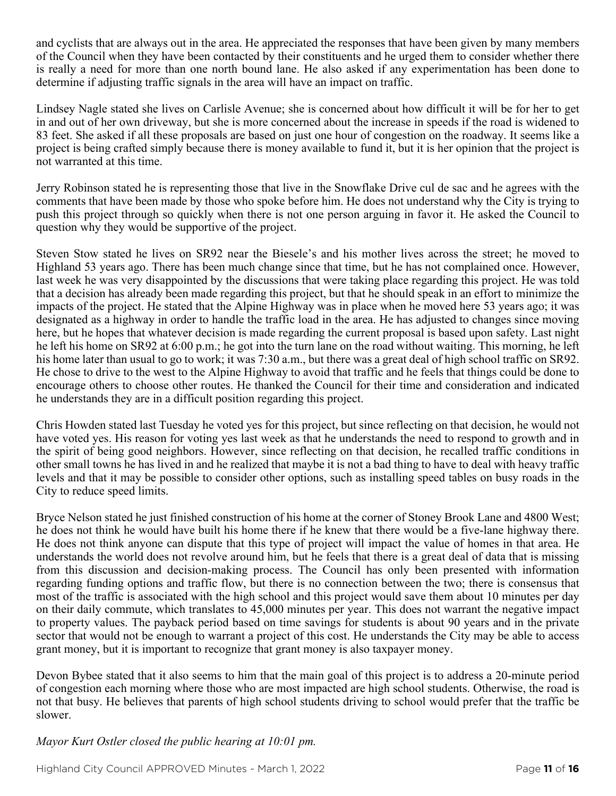and cyclists that are always out in the area. He appreciated the responses that have been given by many members of the Council when they have been contacted by their constituents and he urged them to consider whether there is really a need for more than one north bound lane. He also asked if any experimentation has been done to determine if adjusting traffic signals in the area will have an impact on traffic.

Lindsey Nagle stated she lives on Carlisle Avenue; she is concerned about how difficult it will be for her to get in and out of her own driveway, but she is more concerned about the increase in speeds if the road is widened to 83 feet. She asked if all these proposals are based on just one hour of congestion on the roadway. It seems like a project is being crafted simply because there is money available to fund it, but it is her opinion that the project is not warranted at this time.

Jerry Robinson stated he is representing those that live in the Snowflake Drive cul de sac and he agrees with the comments that have been made by those who spoke before him. He does not understand why the City is trying to push this project through so quickly when there is not one person arguing in favor it. He asked the Council to question why they would be supportive of the project.

Steven Stow stated he lives on SR92 near the Biesele's and his mother lives across the street; he moved to Highland 53 years ago. There has been much change since that time, but he has not complained once. However, last week he was very disappointed by the discussions that were taking place regarding this project. He was told that a decision has already been made regarding this project, but that he should speak in an effort to minimize the impacts of the project. He stated that the Alpine Highway was in place when he moved here 53 years ago; it was designated as a highway in order to handle the traffic load in the area. He has adjusted to changes since moving here, but he hopes that whatever decision is made regarding the current proposal is based upon safety. Last night he left his home on SR92 at 6:00 p.m.; he got into the turn lane on the road without waiting. This morning, he left his home later than usual to go to work; it was 7:30 a.m., but there was a great deal of high school traffic on SR92. He chose to drive to the west to the Alpine Highway to avoid that traffic and he feels that things could be done to encourage others to choose other routes. He thanked the Council for their time and consideration and indicated he understands they are in a difficult position regarding this project.

Chris Howden stated last Tuesday he voted yes for this project, but since reflecting on that decision, he would not have voted yes. His reason for voting yes last week as that he understands the need to respond to growth and in the spirit of being good neighbors. However, since reflecting on that decision, he recalled traffic conditions in other small towns he has lived in and he realized that maybe it is not a bad thing to have to deal with heavy traffic levels and that it may be possible to consider other options, such as installing speed tables on busy roads in the City to reduce speed limits.

Bryce Nelson stated he just finished construction of his home at the corner of Stoney Brook Lane and 4800 West; he does not think he would have built his home there if he knew that there would be a five-lane highway there. He does not think anyone can dispute that this type of project will impact the value of homes in that area. He understands the world does not revolve around him, but he feels that there is a great deal of data that is missing from this discussion and decision-making process. The Council has only been presented with information regarding funding options and traffic flow, but there is no connection between the two; there is consensus that most of the traffic is associated with the high school and this project would save them about 10 minutes per day on their daily commute, which translates to 45,000 minutes per year. This does not warrant the negative impact to property values. The payback period based on time savings for students is about 90 years and in the private sector that would not be enough to warrant a project of this cost. He understands the City may be able to access grant money, but it is important to recognize that grant money is also taxpayer money.

Devon Bybee stated that it also seems to him that the main goal of this project is to address a 20-minute period of congestion each morning where those who are most impacted are high school students. Otherwise, the road is not that busy. He believes that parents of high school students driving to school would prefer that the traffic be slower.

*Mayor Kurt Ostler closed the public hearing at 10:01 pm.*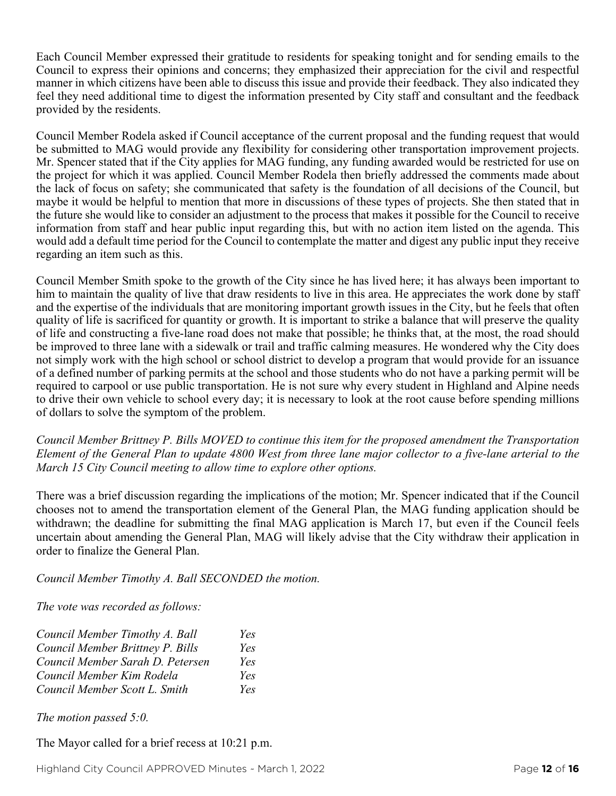Each Council Member expressed their gratitude to residents for speaking tonight and for sending emails to the Council to express their opinions and concerns; they emphasized their appreciation for the civil and respectful manner in which citizens have been able to discuss this issue and provide their feedback. They also indicated they feel they need additional time to digest the information presented by City staff and consultant and the feedback provided by the residents.

Council Member Rodela asked if Council acceptance of the current proposal and the funding request that would be submitted to MAG would provide any flexibility for considering other transportation improvement projects. Mr. Spencer stated that if the City applies for MAG funding, any funding awarded would be restricted for use on the project for which it was applied. Council Member Rodela then briefly addressed the comments made about the lack of focus on safety; she communicated that safety is the foundation of all decisions of the Council, but maybe it would be helpful to mention that more in discussions of these types of projects. She then stated that in the future she would like to consider an adjustment to the process that makes it possible for the Council to receive information from staff and hear public input regarding this, but with no action item listed on the agenda. This would add a default time period for the Council to contemplate the matter and digest any public input they receive regarding an item such as this.

Council Member Smith spoke to the growth of the City since he has lived here; it has always been important to him to maintain the quality of live that draw residents to live in this area. He appreciates the work done by staff and the expertise of the individuals that are monitoring important growth issues in the City, but he feels that often quality of life is sacrificed for quantity or growth. It is important to strike a balance that will preserve the quality of life and constructing a five-lane road does not make that possible; he thinks that, at the most, the road should be improved to three lane with a sidewalk or trail and traffic calming measures. He wondered why the City does not simply work with the high school or school district to develop a program that would provide for an issuance of a defined number of parking permits at the school and those students who do not have a parking permit will be required to carpool or use public transportation. He is not sure why every student in Highland and Alpine needs to drive their own vehicle to school every day; it is necessary to look at the root cause before spending millions of dollars to solve the symptom of the problem.

*Council Member Brittney P. Bills MOVED to continue this item for the proposed amendment the Transportation Element of the General Plan to update 4800 West from three lane major collector to a five-lane arterial to the March 15 City Council meeting to allow time to explore other options.*

There was a brief discussion regarding the implications of the motion; Mr. Spencer indicated that if the Council chooses not to amend the transportation element of the General Plan, the MAG funding application should be withdrawn; the deadline for submitting the final MAG application is March 17, but even if the Council feels uncertain about amending the General Plan, MAG will likely advise that the City withdraw their application in order to finalize the General Plan.

*Council Member Timothy A. Ball SECONDED the motion.*

*The vote was recorded as follows:*

| Council Member Timothy A. Ball   | Yes |
|----------------------------------|-----|
| Council Member Brittney P. Bills | Yes |
| Council Member Sarah D. Petersen | Yes |
| Council Member Kim Rodela        | Yes |
| Council Member Scott L. Smith    | Yes |

*The motion passed 5:0.* 

The Mayor called for a brief recess at 10:21 p.m.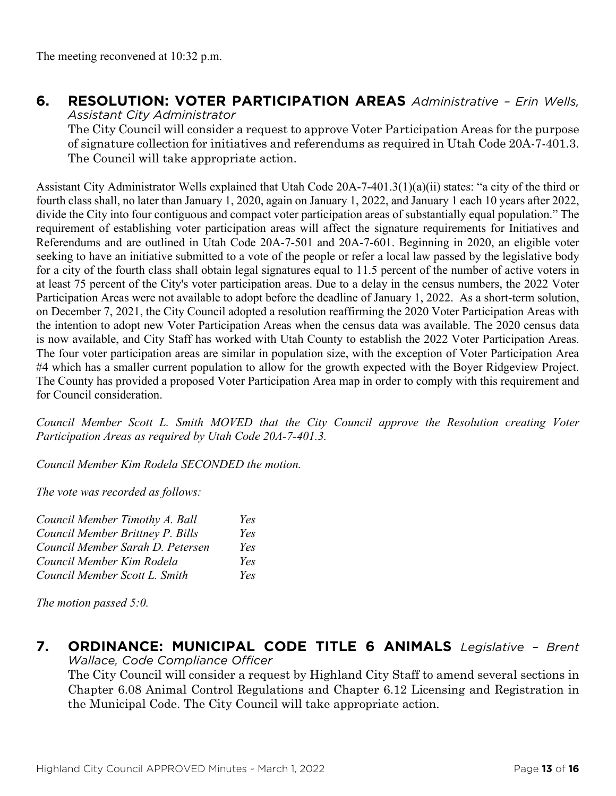# **6. RESOLUTION: VOTER PARTICIPATION AREAS** *Administrative – Erin Wells,*

*Assistant City Administrator*

The City Council will consider a request to approve Voter Participation Areas for the purpose of signature collection for initiatives and referendums as required in Utah Code 20A-7-401.3. The Council will take appropriate action.

Assistant City Administrator Wells explained that Utah Code 20A-7-401.3(1)(a)(ii) states: "a city of the third or fourth class shall, no later than January 1, 2020, again on January 1, 2022, and January 1 each 10 years after 2022, divide the City into four contiguous and compact voter participation areas of substantially equal population." The requirement of establishing voter participation areas will affect the signature requirements for Initiatives and Referendums and are outlined in Utah Code 20A-7-501 and 20A-7-601. Beginning in 2020, an eligible voter seeking to have an initiative submitted to a vote of the people or refer a local law passed by the legislative body for a city of the fourth class shall obtain legal signatures equal to 11.5 percent of the number of active voters in at least 75 percent of the City's voter participation areas. Due to a delay in the census numbers, the 2022 Voter Participation Areas were not available to adopt before the deadline of January 1, 2022. As a short-term solution, on December 7, 2021, the City Council adopted a resolution reaffirming the 2020 Voter Participation Areas with the intention to adopt new Voter Participation Areas when the census data was available. The 2020 census data is now available, and City Staff has worked with Utah County to establish the 2022 Voter Participation Areas. The four voter participation areas are similar in population size, with the exception of Voter Participation Area #4 which has a smaller current population to allow for the growth expected with the Boyer Ridgeview Project. The County has provided a proposed Voter Participation Area map in order to comply with this requirement and for Council consideration.

*Council Member Scott L. Smith MOVED that the City Council approve the Resolution creating Voter Participation Areas as required by Utah Code 20A-7-401.3.*

*Council Member Kim Rodela SECONDED the motion.*

*The vote was recorded as follows:*

| Council Member Timothy A. Ball   | Yes |
|----------------------------------|-----|
| Council Member Brittney P. Bills | Yes |
| Council Member Sarah D. Petersen | Yes |
| Council Member Kim Rodela        | Yes |
| Council Member Scott L. Smith    | Yes |

*The motion passed 5:0.* 

#### **7. ORDINANCE: MUNICIPAL CODE TITLE 6 ANIMALS** *Legislative – Brent Wallace, Code Compliance Officer*

The City Council will consider a request by Highland City Staff to amend several sections in Chapter 6.08 Animal Control Regulations and Chapter 6.12 Licensing and Registration in the Municipal Code. The City Council will take appropriate action.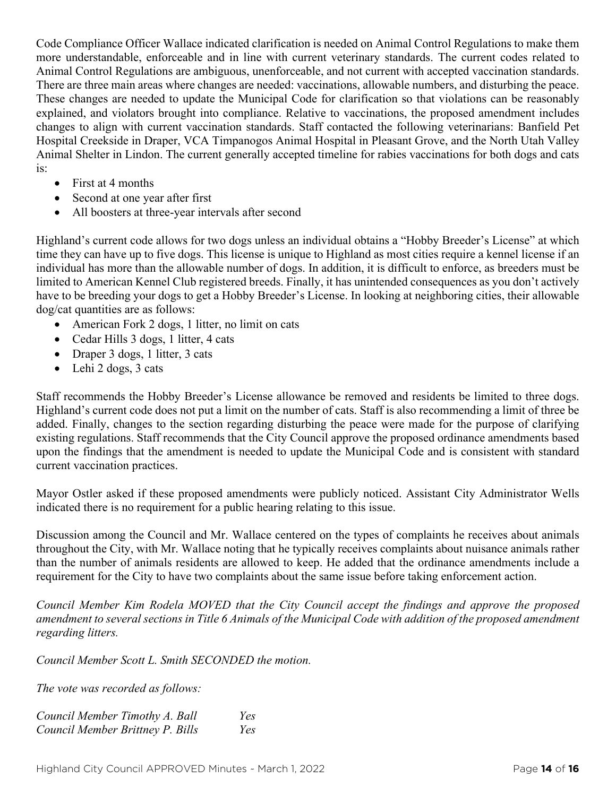Code Compliance Officer Wallace indicated clarification is needed on Animal Control Regulations to make them more understandable, enforceable and in line with current veterinary standards. The current codes related to Animal Control Regulations are ambiguous, unenforceable, and not current with accepted vaccination standards. There are three main areas where changes are needed: vaccinations, allowable numbers, and disturbing the peace. These changes are needed to update the Municipal Code for clarification so that violations can be reasonably explained, and violators brought into compliance. Relative to vaccinations, the proposed amendment includes changes to align with current vaccination standards. Staff contacted the following veterinarians: Banfield Pet Hospital Creekside in Draper, VCA Timpanogos Animal Hospital in Pleasant Grove, and the North Utah Valley Animal Shelter in Lindon. The current generally accepted timeline for rabies vaccinations for both dogs and cats is:

- First at 4 months
- Second at one year after first
- All boosters at three-year intervals after second

Highland's current code allows for two dogs unless an individual obtains a "Hobby Breeder's License" at which time they can have up to five dogs. This license is unique to Highland as most cities require a kennel license if an individual has more than the allowable number of dogs. In addition, it is difficult to enforce, as breeders must be limited to American Kennel Club registered breeds. Finally, it has unintended consequences as you don't actively have to be breeding your dogs to get a Hobby Breeder's License. In looking at neighboring cities, their allowable dog/cat quantities are as follows:

- American Fork 2 dogs, 1 litter, no limit on cats
- Cedar Hills 3 dogs, 1 litter, 4 cats
- Draper 3 dogs, 1 litter, 3 cats
- Lehi 2 dogs, 3 cats

Staff recommends the Hobby Breeder's License allowance be removed and residents be limited to three dogs. Highland's current code does not put a limit on the number of cats. Staff is also recommending a limit of three be added. Finally, changes to the section regarding disturbing the peace were made for the purpose of clarifying existing regulations. Staff recommends that the City Council approve the proposed ordinance amendments based upon the findings that the amendment is needed to update the Municipal Code and is consistent with standard current vaccination practices.

Mayor Ostler asked if these proposed amendments were publicly noticed. Assistant City Administrator Wells indicated there is no requirement for a public hearing relating to this issue.

Discussion among the Council and Mr. Wallace centered on the types of complaints he receives about animals throughout the City, with Mr. Wallace noting that he typically receives complaints about nuisance animals rather than the number of animals residents are allowed to keep. He added that the ordinance amendments include a requirement for the City to have two complaints about the same issue before taking enforcement action.

*Council Member Kim Rodela MOVED that the City Council accept the findings and approve the proposed amendment to several sections in Title 6 Animals of the Municipal Code with addition of the proposed amendment regarding litters.* 

*Council Member Scott L. Smith SECONDED the motion.*

*The vote was recorded as follows:*

| Council Member Timothy A. Ball   | Yes |
|----------------------------------|-----|
| Council Member Brittney P. Bills | Yes |